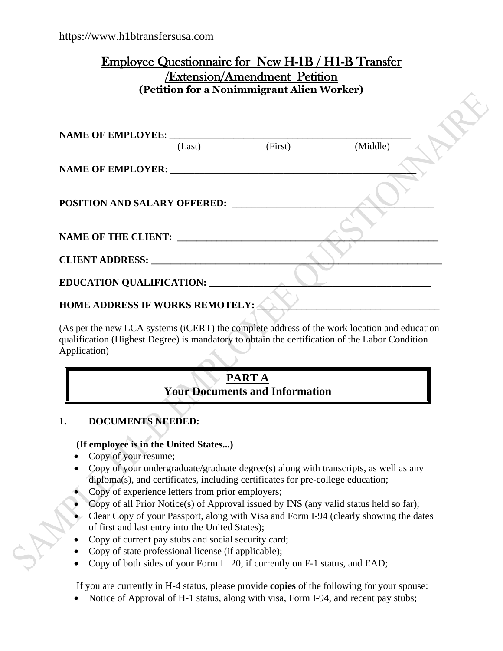# Employee Questionnaire for New H-1B / H1-B Transfer /Extension/Amendment Petition **(Petition for a Nonimmigrant Alien Worker)**

| (Last)                                 | (First) | (Middle) |  |
|----------------------------------------|---------|----------|--|
|                                        |         |          |  |
| <b>POSITION AND SALARY OFFERED:</b>    |         |          |  |
| <b>NAME OF THE CLIENT:</b>             |         |          |  |
| CLIENT ADDRESS: NAME OF STREET         |         |          |  |
| <b>EDUCATION QUALIFICATION:</b>        |         |          |  |
| <b>HOME ADDRESS IF WORKS REMOTELY:</b> |         |          |  |

(As per the new LCA systems (iCERT) the complete address of the work location and education qualification (Highest Degree) is mandatory to obtain the certification of the Labor Condition Application)

# **PART A Your Documents and Information**

## <span id="page-0-0"></span>**1. DOCUMENTS NEEDED:**

## **(If employee is in the United States...)**

- Copy of your resume;
- Copy of your undergraduate/graduate degree(s) along with transcripts, as well as any diploma(s), and certificates, including certificates for pre-college education;
- Copy of experience letters from prior employers;
- Copy of all Prior Notice(s) of Approval issued by INS (any valid status held so far);
- Clear Copy of your Passport, along with Visa and Form I-94 (clearly showing the dates of first and last entry into the United States);
- Copy of current pay stubs and social security card;
- Copy of state professional license (if applicable);
- Copy of both sides of your Form  $I 20$ , if currently on  $F-1$  status, and EAD;

If you are currently in H-4 status, please provide **copies** of the following for your spouse:

• Notice of Approval of H-1 status, along with visa, Form I-94, and recent pay stubs;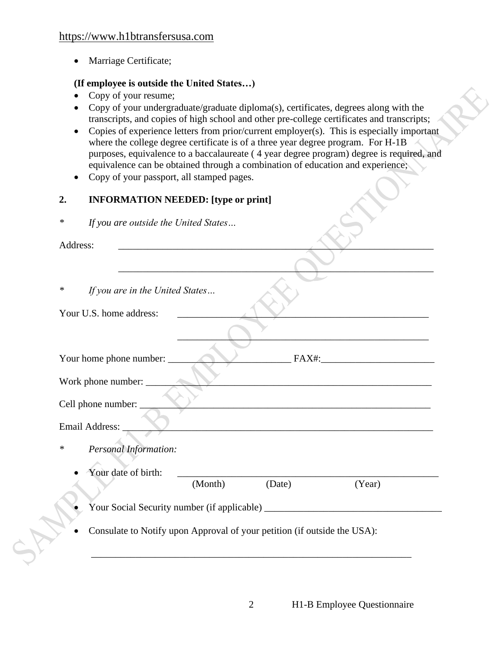• Marriage Certificate;

## **(If employee is outside the United States…)**

- Copy of your resume;
- Copy of your undergraduate/graduate diploma(s), certificates, degrees along with the transcripts, and copies of high school and other pre-college certificates and transcripts;
- Copies of experience letters from prior/current employer(s). This is especially important where the college degree certificate is of a three year degree program. For H-1B purposes, equivalence to a baccalaureate ( 4 year degree program) degree is required, and equivalence can be obtained through a combination of education and experience;

\_\_\_\_\_\_\_\_\_\_\_\_\_\_\_\_\_\_\_\_\_\_\_\_\_\_\_\_\_\_\_\_\_\_\_\_\_\_\_\_\_\_\_\_\_\_\_\_\_\_\_\_\_\_\_\_\_\_\_\_\_\_\_\_

 $\blacksquare$  .  $\blacksquare$  .  $\blacksquare$  .  $\blacksquare$  .  $\blacksquare$  .  $\blacksquare$  .  $\blacksquare$  .  $\blacksquare$  .  $\blacksquare$  .  $\blacksquare$  .  $\blacksquare$  .  $\blacksquare$  .  $\blacksquare$  .  $\blacksquare$  .  $\blacksquare$  .  $\blacksquare$  .  $\blacksquare$  .  $\blacksquare$  .  $\blacksquare$  .  $\blacksquare$  .  $\blacksquare$  .  $\blacksquare$  .  $\blacksquare$  .  $\blacksquare$  .  $\blacksquare$ 

• Copy of your passport, all stamped pages.

## **2. INFORMATION NEEDED: [type or print]**

*\* If you are outside the United States…*

Address: \_\_\_\_\_\_\_\_\_\_\_\_\_\_\_\_\_\_\_\_\_\_\_\_\_\_\_\_\_\_\_\_\_\_\_\_\_\_\_\_\_\_\_\_\_\_\_\_\_\_\_\_\_\_\_\_\_\_\_\_\_\_\_\_

*\* If you are in the United States…*

| Your home phone number: |  |  |
|-------------------------|--|--|
|                         |  |  |

Work phone number:

Cell phone number:

Email Address:

- *\* Personal Information:*
	- Your date of birth: (Month) (Date) (Year)

• Your Social Security number (if applicable) \_\_\_\_\_\_\_\_\_\_\_\_\_\_\_\_\_\_\_\_\_\_\_\_\_\_\_\_\_\_\_\_\_\_\_\_

\_\_\_\_\_\_\_\_\_\_\_\_\_\_\_\_\_\_\_\_\_\_\_\_\_\_\_\_\_\_\_\_\_\_\_\_\_\_\_\_\_\_\_\_\_\_\_\_\_\_\_\_\_\_\_\_\_\_\_\_\_\_\_\_\_

• Consulate to Notify upon Approval of your petition (if outside the USA):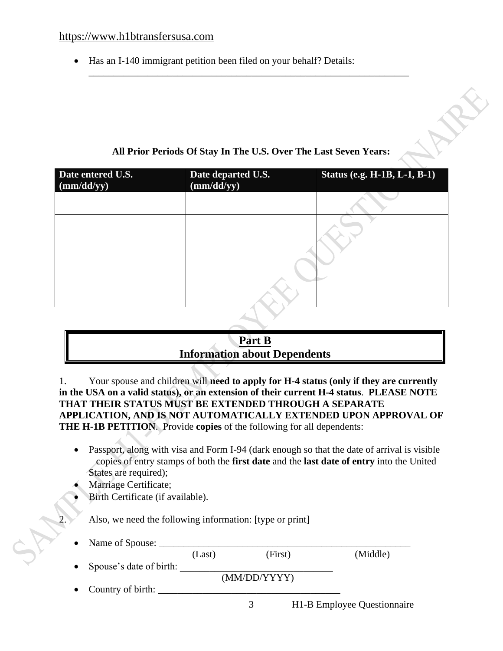#### [https://www.h1btransfersusa.com](https://www.h1btransfersusa.com/)

• Has an I-140 immigrant petition been filed on your behalf? Details:

# **All Prior Periods Of Stay In The U.S. Over The Last Seven Years:**

\_\_\_\_\_\_\_\_\_\_\_\_\_\_\_\_\_\_\_\_\_\_\_\_\_\_\_\_\_\_\_\_\_\_\_\_\_\_\_\_\_\_\_\_\_\_\_\_\_\_\_\_\_\_\_\_\_\_\_\_\_\_\_\_\_

| Date entered U.S.<br>(mm/dd/yy) | Date departed U.S.<br>(mm/dd/yy) | <b>Status (e.g. H-1B, L-1, B-1)</b> |
|---------------------------------|----------------------------------|-------------------------------------|
|                                 |                                  |                                     |
|                                 |                                  |                                     |
|                                 |                                  |                                     |
|                                 |                                  |                                     |
|                                 |                                  |                                     |

# **Part B Information about Dependents**

1. Your spouse and children will **need to apply for H-4 status (only if they are currently in the USA on a valid status), or an extension of their current H-4 status**. **PLEASE NOTE THAT THEIR STATUS MUST BE EXTENDED THROUGH A SEPARATE APPLICATION, AND IS NOT AUTOMATICALLY EXTENDED UPON APPROVAL OF THE H-1B PETITION**. Provide **copies** of the following for all dependents:

- Passport, along with visa and Form I-94 (dark enough so that the date of arrival is visible – copies of entry stamps of both the **first date** and the **last date of entry** into the United States are required);
- Marriage Certificate;
- Birth Certificate (if available).

Also, we need the following information: [type or print]

• Name of Spouse: \_\_\_\_\_\_\_\_\_\_\_\_\_\_\_\_\_\_\_\_\_\_\_\_\_\_\_\_\_\_\_\_\_\_\_\_\_\_\_\_\_\_\_\_\_\_\_\_\_\_\_

|                         | (Last) | (First)      | (Middle)                    |
|-------------------------|--------|--------------|-----------------------------|
| Spouse's date of birth: |        |              |                             |
|                         |        | (MM/DD/YYYY) |                             |
| • Country of birth:     |        |              |                             |
|                         |        |              | H1-B Employee Questionnaire |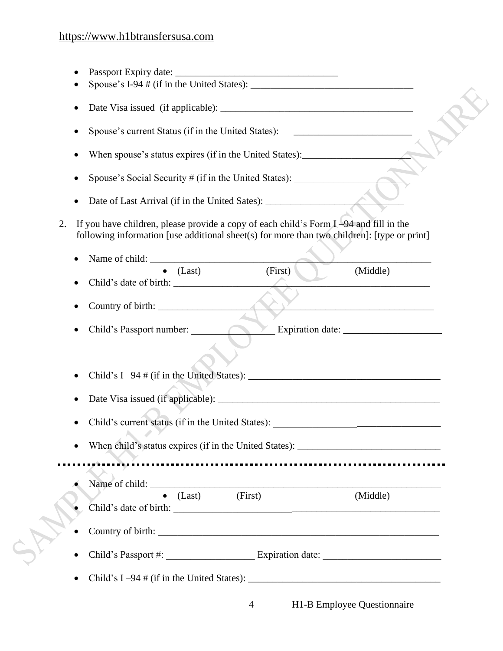| ٠         |                                                                                                                                                                                        |                |                                                                                           |
|-----------|----------------------------------------------------------------------------------------------------------------------------------------------------------------------------------------|----------------|-------------------------------------------------------------------------------------------|
|           | Spouse's current Status (if in the United States): _____________________________                                                                                                       |                |                                                                                           |
|           | When spouse's status expires (if in the United States): _________________________                                                                                                      |                |                                                                                           |
|           | Spouse's Social Security # (if in the United States):                                                                                                                                  |                |                                                                                           |
| $\bullet$ |                                                                                                                                                                                        |                |                                                                                           |
| 2.        | If you have children, please provide a copy of each child's Form $I-94$ and fill in the<br>following information [use additional sheet(s) for more than two children]: [type or print] |                |                                                                                           |
| $\bullet$ | Name of child:                                                                                                                                                                         |                |                                                                                           |
|           | $\bullet$ (Last)                                                                                                                                                                       | (First)        | (Middle)                                                                                  |
| $\bullet$ |                                                                                                                                                                                        |                |                                                                                           |
|           |                                                                                                                                                                                        |                | the control of the control of the control of the control of the control of the control of |
|           | Child's Passport number:                                                                                                                                                               |                |                                                                                           |
|           |                                                                                                                                                                                        |                |                                                                                           |
|           |                                                                                                                                                                                        |                |                                                                                           |
|           |                                                                                                                                                                                        |                |                                                                                           |
|           | Child's current status (if in the United States): _______________________________                                                                                                      |                |                                                                                           |
|           | When child's status expires (if in the United States): __________________________                                                                                                      |                |                                                                                           |
|           |                                                                                                                                                                                        |                |                                                                                           |
|           | Name of child:                                                                                                                                                                         |                |                                                                                           |
|           | $\bullet$ (Last) (First)                                                                                                                                                               |                | (Middle)                                                                                  |
|           |                                                                                                                                                                                        |                |                                                                                           |
|           |                                                                                                                                                                                        |                |                                                                                           |
|           | Child's $I-94 \# (if in the United States):$                                                                                                                                           |                |                                                                                           |
|           |                                                                                                                                                                                        | $\overline{4}$ | H1-B Employee Questionnaire                                                               |